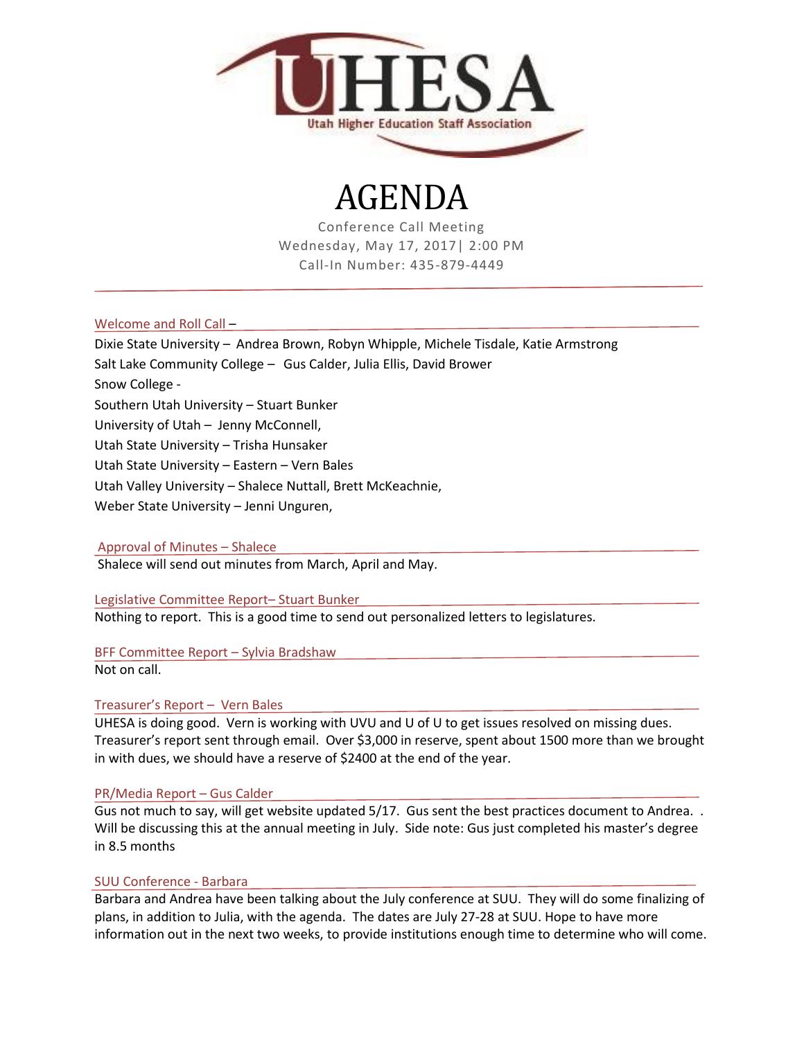

## AGENDA

Conference Call Meeting Wednesday, May 17, 2017| 2:00 PM Call-In Number: 435-879-4449

Welcome and Roll Call –

- Dixie State University Andrea Brown, Robyn Whipple, Michele Tisdale, Katie Armstrong
- Salt Lake Community College Gus Calder, Julia Ellis, David Brower

Snow College -

Southern Utah University – Stuart Bunker

University of Utah – Jenny McConnell,

Utah State University – Trisha Hunsaker

Utah State University – Eastern – Vern Bales

Utah Valley University – Shalece Nuttall, Brett McKeachnie,

Weber State University – Jenni Unguren,

Approval of Minutes – Shalece

Shalece will send out minutes from March, April and May.

Legislative Committee Report– Stuart Bunker

Nothing to report. This is a good time to send out personalized letters to legislatures.

BFF Committee Report – Sylvia Bradshaw

Not on call.

Treasurer's Report – Vern Bales

UHESA is doing good. Vern is working with UVU and U of U to get issues resolved on missing dues. Treasurer's report sent through email. Over \$3,000 in reserve, spent about 1500 more than we brought in with dues, we should have a reserve of \$2400 at the end of the year.

## PR/Media Report – Gus Calder

Gus not much to say, will get website updated 5/17. Gus sent the best practices document to Andrea.. Will be discussing this at the annual meeting in July. Side note: Gus just completed his master's degree in 8.5 months

## SUU Conference - Barbara

Barbara and Andrea have been talking about the July conference at SUU. They will do some finalizing of plans, in addition to Julia, with the agenda. The dates are July 27-28 at SUU. Hope to have more information out in the next two weeks, to provide institutions enough time to determine who will come.